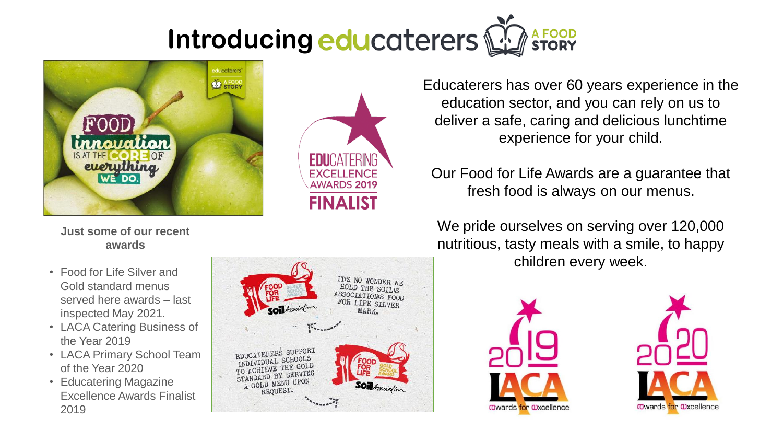# **Introducing educaterers M**



**Just some of our recent awards**

- Food for Life Silver and Gold standard menus served here awards – last inspected May 2021.
- LACA Catering Business of the Year 2019
- LACA Primary School Team of the Year 2020
- Educatering Magazine Excellence Awards Finalist 2019



**FDUCATFRING** 

**FXCELLENCE AWARDS 2019** 

**FINALIST** 

Educaterers has over 60 years experience in the education sector, and you can rely on us to deliver a safe, caring and delicious lunchtime experience for your child.

Our Food for Life Awards are a guarantee that fresh food is always on our menus.

We pride ourselves on serving over 120,000 nutritious, tasty meals with a smile, to happy children every week.



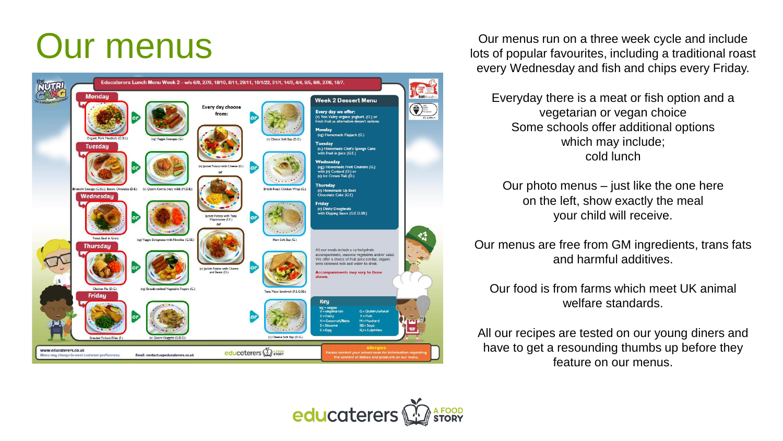

Our menus run on a three week cycle and include<br>lots of popular favourites, including a traditional roas lots of popular favourites, including a traditional roast every Wednesday and fish and chips every Friday.

> Everyday there is a meat or fish option and a vegetarian or vegan choice Some schools offer additional options which may include; cold lunch

Our photo menus – just like the one here on the left, show exactly the meal your child will receive.

Our menus are free from GM ingredients, trans fats and harmful additives.

Our food is from farms which meet UK animal welfare standards.

All our recipes are tested on our young diners and have to get a resounding thumbs up before they feature on our menus.

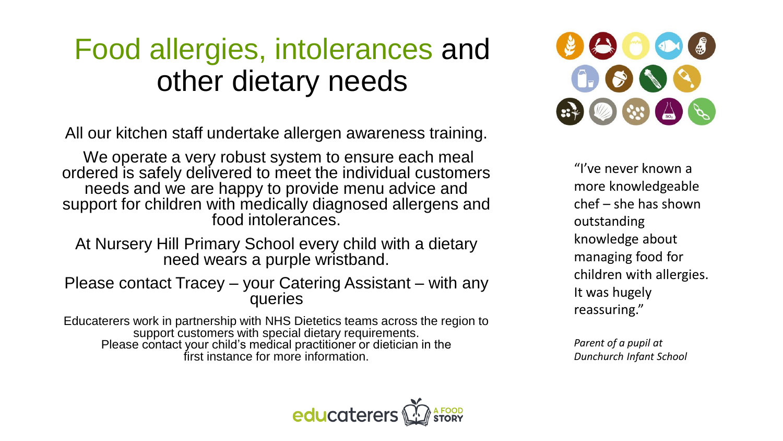# Food allergies, intolerances and other dietary needs

All our kitchen staff undertake allergen awareness training.

We operate a very robust system to ensure each meal ordered is safely delivered to meet the individual customers needs and we are happy to provide menu advice and support for children with medically diagnosed allergens and food intolerances.

At Nursery Hill Primary School every child with a dietary need wears a purple wristband.

Please contact Tracey – your Catering Assistant – with any queries

Educaterers work in partnership with NHS Dietetics teams across the region to support customers with special dietary requirements. Please contact your child's medical practitioner or dietician in the first instance for more information.



"I've never known a more knowledgeable chef – she has shown outstanding knowledge about managing food for children with allergies. It was hugely reassuring."

*Parent of a pupil at Dunchurch Infant School*

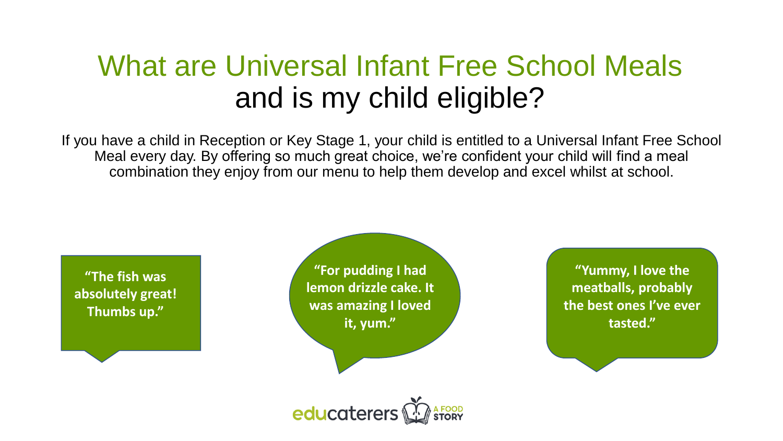## What are Universal Infant Free School Meals and is my child eligible?

If you have a child in Reception or Key Stage 1, your child is entitled to a Universal Infant Free School Meal every day. By offering so much great choice, we're confident your child will find a meal combination they enjoy from our menu to help them develop and excel whilst at school.

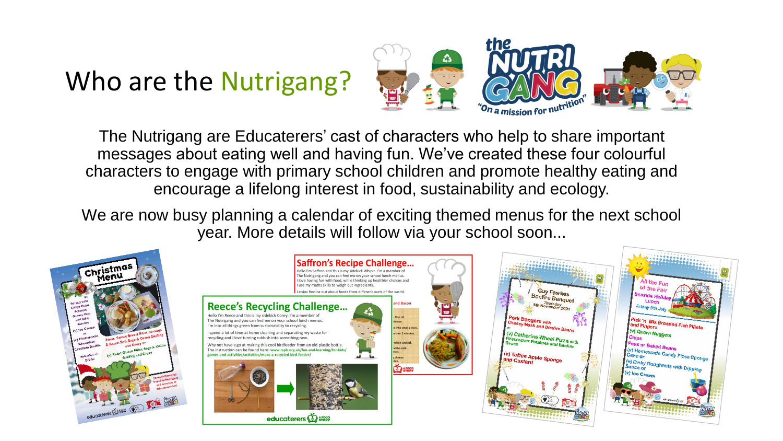### Who are the Nutrigang?



The Nutrigang are Educaterers' cast of characters who help to share important messages about eating well and having fun. We've created these four colourful characters to engage with primary school children and promote healthy eating and encourage a lifelong interest in food, sustainability and ecology.

We are now busy planning a calendar of exciting themed menus for the next school year. More details will follow via your school soon...